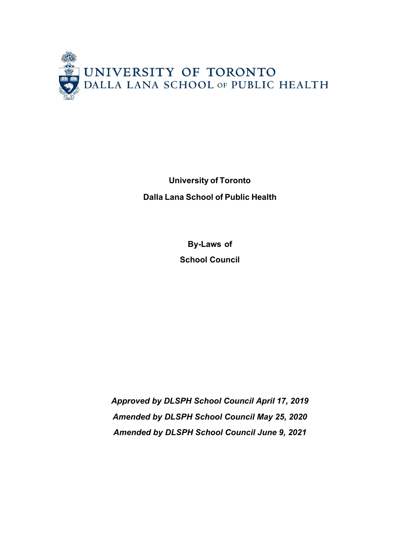

**University of Toronto Dalla Lana School of Public Health**

> **By-Laws of School Council**

*Approved by DLSPH School Council April 17, 2019 Amended by DLSPH School Council May 25, 2020 Amended by DLSPH School Council June 9, 2021*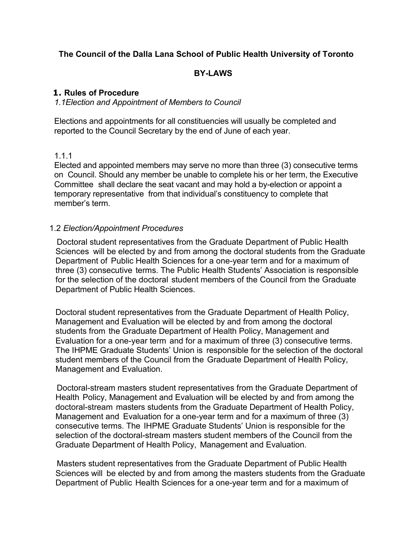# **The Council of the Dalla Lana School of Public Health University of Toronto**

## **BY-LAWS**

## **1. Rules of Procedure**

#### *1.1Election and Appointment of Members to Council*

Elections and appointments for all constituencies will usually be completed and reported to the Council Secretary by the end of June of each year.

## 1.1.1

Elected and appointed members may serve no more than three (3) consecutive terms on Council. Should any member be unable to complete his or her term, the Executive Committee shall declare the seat vacant and may hold a by-election or appoint a temporary representative from that individual's constituency to complete that member's term.

### 1.2 *Election/Appointment Procedures*

Doctoral student representatives from the Graduate Department of Public Health Sciences will be elected by and from among the doctoral students from the Graduate Department of Public Health Sciences for a one-year term and for a maximum of three (3) consecutive terms. The Public Health Students' Association is responsible for the selection of the doctoral student members of the Council from the Graduate Department of Public Health Sciences.

Doctoral student representatives from the Graduate Department of Health Policy, Management and Evaluation will be elected by and from among the doctoral students from the Graduate Department of Health Policy, Management and Evaluation for a one-year term and for a maximum of three (3) consecutive terms. The IHPME Graduate Students' Union is responsible for the selection of the doctoral student members of the Council from the Graduate Department of Health Policy, Management and Evaluation.

Doctoral-stream masters student representatives from the Graduate Department of Health Policy, Management and Evaluation will be elected by and from among the doctoral-stream masters students from the Graduate Department of Health Policy, Management and Evaluation for a one-year term and for a maximum of three (3) consecutive terms. The IHPME Graduate Students' Union is responsible for the selection of the doctoral-stream masters student members of the Council from the Graduate Department of Health Policy, Management and Evaluation.

Masters student representatives from the Graduate Department of Public Health Sciences will be elected by and from among the masters students from the Graduate Department of Public Health Sciences for a one-year term and for a maximum of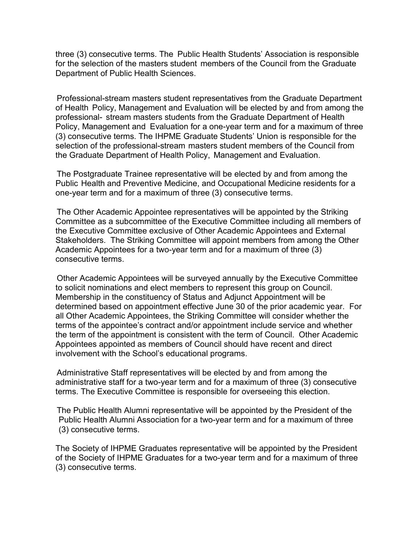three (3) consecutive terms. The Public Health Students' Association is responsible for the selection of the masters student members of the Council from the Graduate Department of Public Health Sciences.

Professional-stream masters student representatives from the Graduate Department of Health Policy, Management and Evaluation will be elected by and from among the professional- stream masters students from the Graduate Department of Health Policy, Management and Evaluation for a one-year term and for a maximum of three (3) consecutive terms. The IHPME Graduate Students' Union is responsible for the selection of the professional-stream masters student members of the Council from the Graduate Department of Health Policy, Management and Evaluation.

The Postgraduate Trainee representative will be elected by and from among the Public Health and Preventive Medicine, and Occupational Medicine residents for a one-year term and for a maximum of three (3) consecutive terms.

The Other Academic Appointee representatives will be appointed by the Striking Committee as a subcommittee of the Executive Committee including all members of the Executive Committee exclusive of Other Academic Appointees and External Stakeholders. The Striking Committee will appoint members from among the Other Academic Appointees for a two-year term and for a maximum of three  $(3)$ consecutive terms.

Other Academic Appointees will be surveyed annually by the Executive Committee to solicit nominations and elect members to represent this group on Council. Membership in the constituency of Status and Adjunct Appointment will be determined based on appointment effective June 30 of the prior academic year. For all Other Academic Appointees, the Striking Committee will consider whether the terms of the appointee's contract and/or appointment include service and whether the term of the appointment is consistent with the term of Council. Other Academic Appointees appointed as members of Council should have recent and direct involvement with the School's educational programs.

Administrative Staff representatives will be elected by and from among the administrative staff for a two-year term and for a maximum of three (3) consecutive terms. The Executive Committee is responsible for overseeing this election.

The Public Health Alumni representative will be appointed by the President of the Public Health Alumni Association for a two-year term and for a maximum of three (3) consecutive terms.

The Society of IHPME Graduates representative will be appointed by the President of the Society of IHPME Graduates for a two-year term and for a maximum of three (3) consecutive terms.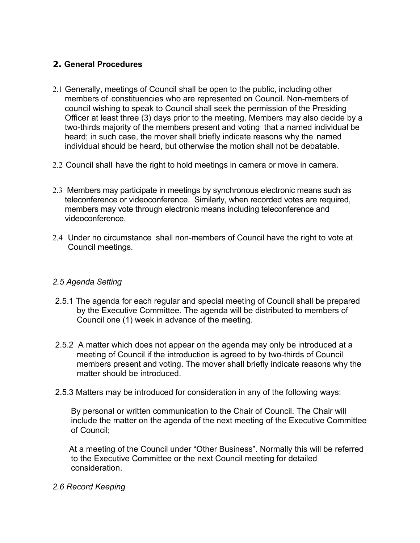# **2. General Procedures**

- 2.1 Generally, meetings of Council shall be open to the public, including other members of constituencies who are represented on Council. Non-members of council wishing to speak to Council shall seek the permission of the Presiding Officer at least three (3) days prior to the meeting. Members may also decide by a two-thirds majority of the members present and voting that a named individual be heard; in such case, the mover shall briefly indicate reasons why the named individual should be heard, but otherwise the motion shall not be debatable.
- 2.2 Council shall have the right to hold meetings in camera or move in camera.
- 2.3 Members may participate in meetings by synchronous electronic means such as teleconference or videoconference. Similarly, when recorded votes are required, members may vote through electronic means including teleconference and videoconference.
- 2.4 Under no circumstance shall non-members of Council have the right to vote at Council meetings.

# *2.5 Agenda Setting*

- 2.5.1 The agenda for each regular and special meeting of Council shall be prepared by the Executive Committee. The agenda will be distributed to members of Council one (1) week in advance of the meeting.
- 2.5.2 A matter which does not appear on the agenda may only be introduced at a meeting of Council if the introduction is agreed to by two-thirds of Council members present and voting. The mover shall briefly indicate reasons why the matter should be introduced.
- 2.5.3 Matters may be introduced for consideration in any of the following ways:

By personal or written communication to the Chair of Council. The Chair will include the matter on the agenda of the next meeting of the Executive Committee of Council;

At a meeting of the Council under "Other Business". Normally this will be referred to the Executive Committee or the next Council meeting for detailed consideration.

### *2.6 Record Keeping*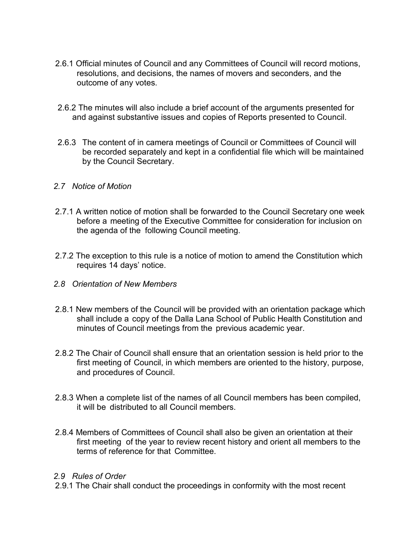- 2.6.1 Official minutes of Council and any Committees of Council will record motions, resolutions, and decisions, the names of movers and seconders, and the outcome of any votes.
- 2.6.2 The minutes will also include a brief account of the arguments presented for and against substantive issues and copies of Reports presented to Council.
- 2.6.3 The content of in camera meetings of Council or Committees of Council will be recorded separately and kept in a confidential file which will be maintained by the Council Secretary.
- *2.7 Notice of Motion*
- 2.7.1 A written notice of motion shall be forwarded to the Council Secretary one week before a meeting of the Executive Committee for consideration for inclusion on the agenda of the following Council meeting.
- 2.7.2 The exception to this rule is a notice of motion to amend the Constitution which requires 14 days' notice.
- *2.8 Orientation of New Members*
- 2.8.1 New members of the Council will be provided with an orientation package which shall include a copy of the Dalla Lana School of Public Health Constitution and minutes of Council meetings from the previous academic year.
- 2.8.2 The Chair of Council shall ensure that an orientation session is held prior to the first meeting of Council, in which members are oriented to the history, purpose, and procedures of Council.
- 2.8.3 When a complete list of the names of all Council members has been compiled, it will be distributed to all Council members.
- 2.8.4 Members of Committees of Council shall also be given an orientation at their first meeting of the year to review recent history and orient all members to the terms of reference for that Committee.

### *2.9 Rules of Order*

2.9.1 The Chair shall conduct the proceedings in conformity with the most recent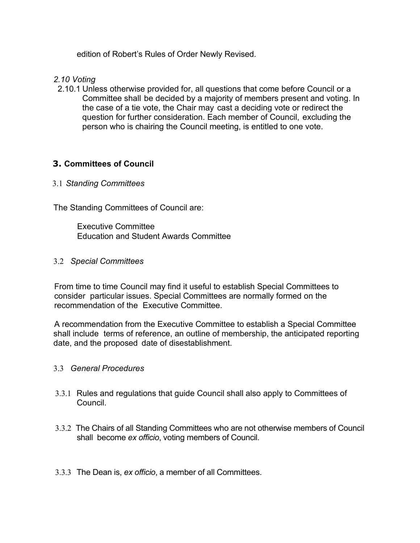edition of Robert's Rules of Order Newly Revised.

- *2.10 Voting*
- 2.10.1 Unless otherwise provided for, all questions that come before Council or a Committee shall be decided by a majority of members present and voting. In the case of a tie vote, the Chair may cast a deciding vote or redirect the question for further consideration. Each member of Council, excluding the person who is chairing the Council meeting, is entitled to one vote.

# **3. Committees of Council**

### 3.1 *Standing Committees*

The Standing Committees of Council are:

Executive Committee Education and Student Awards Committee

#### 3.2 *Special Committees*

From time to time Council may find it useful to establish Special Committees to consider particular issues. Special Committees are normally formed on the recommendation of the Executive Committee.

A recommendation from the Executive Committee to establish a Special Committee shall include terms of reference, an outline of membership, the anticipated reporting date, and the proposed date of disestablishment.

### 3.3 *General Procedures*

- 3.3.1 Rules and regulations that guide Council shall also apply to Committees of Council.
- 3.3.2 The Chairs of all Standing Committees who are not otherwise members of Council shall become *ex officio*, voting members of Council.
- 3.3.3 The Dean is, *ex officio*, a member of all Committees.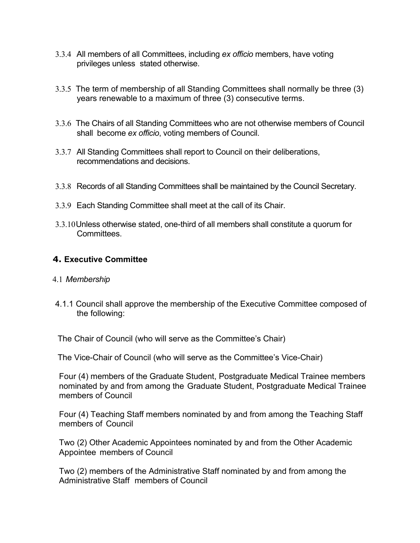- 3.3.4 All members of all Committees, including *ex officio* members, have voting privileges unless stated otherwise.
- 3.3.5 The term of membership of all Standing Committees shall normally be three (3) years renewable to a maximum of three (3) consecutive terms.
- 3.3.6 The Chairs of all Standing Committees who are not otherwise members of Council shall become *ex officio*, voting members of Council.
- 3.3.7 All Standing Committees shall report to Council on their deliberations, recommendations and decisions.
- 3.3.8 Records of all Standing Committees shall be maintained by the Council Secretary.
- 3.3.9 Each Standing Committee shall meet at the call of its Chair.
- 3.3.10Unless otherwise stated, one-third of all members shall constitute a quorum for Committees.

# **4. Executive Committee**

- 4.1 *Membership*
- 4.1.1 Council shall approve the membership of the Executive Committee composed of the following:

The Chair of Council (who will serve as the Committee's Chair)

The Vice-Chair of Council (who will serve as the Committee's Vice-Chair)

Four (4) members of the Graduate Student, Postgraduate Medical Trainee members nominated by and from among the Graduate Student, Postgraduate Medical Trainee members of Council

Four (4) Teaching Staff members nominated by and from among the Teaching Staff members of Council

Two (2) Other Academic Appointees nominated by and from the Other Academic Appointee members of Council

Two (2) members of the Administrative Staff nominated by and from among the Administrative Staff members of Council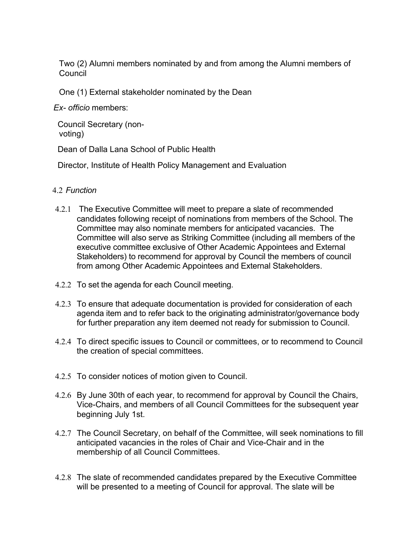Two (2) Alumni members nominated by and from among the Alumni members of Council

One (1) External stakeholder nominated by the Dean

*Ex- officio* members:

Council Secretary (nonvoting)

Dean of Dalla Lana School of Public Health

Director, Institute of Health Policy Management and Evaluation

## 4.2 *Function*

- 4.2.1 The Executive Committee will meet to prepare a slate of recommended candidates following receipt of nominations from members of the School. The Committee may also nominate members for anticipated vacancies. The Committee will also serve as Striking Committee (including all members of the executive committee exclusive of Other Academic Appointees and External Stakeholders) to recommend for approval by Council the members of council from among Other Academic Appointees and External Stakeholders.
- 4.2.2 To set the agenda for each Council meeting.
- 4.2.3 To ensure that adequate documentation is provided for consideration of each agenda item and to refer back to the originating administrator/governance body for further preparation any item deemed not ready for submission to Council.
- 4.2.4 To direct specific issues to Council or committees, or to recommend to Council the creation of special committees.
- 4.2.5 To consider notices of motion given to Council.
- 4.2.6 By June 30th of each year, to recommend for approval by Council the Chairs, Vice-Chairs, and members of all Council Committees for the subsequent year beginning July 1st.
- 4.2.7 The Council Secretary, on behalf of the Committee, will seek nominations to fill anticipated vacancies in the roles of Chair and Vice-Chair and in the membership of all Council Committees.
- 4.2.8 The slate of recommended candidates prepared by the Executive Committee will be presented to a meeting of Council for approval. The slate will be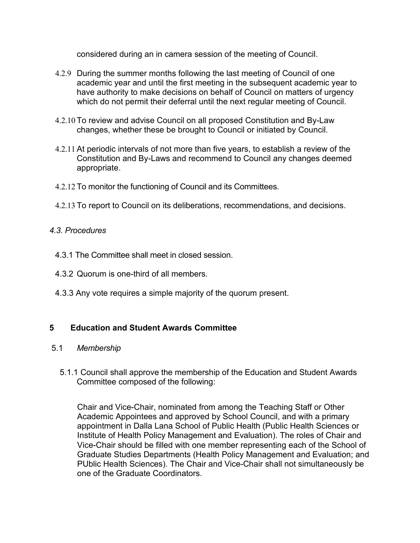considered during an in camera session of the meeting of Council.

- 4.2.9 During the summer months following the last meeting of Council of one academic year and until the first meeting in the subsequent academic year to have authority to make decisions on behalf of Council on matters of urgency which do not permit their deferral until the next regular meeting of Council.
- 4.2.10 To review and advise Council on all proposed Constitution and By-Law changes, whether these be brought to Council or initiated by Council.
- 4.2.11 At periodic intervals of not more than five years, to establish a review of the Constitution and By-Laws and recommend to Council any changes deemed appropriate.
- 4.2.12 To monitor the functioning of Council and its Committees.
- 4.2.13 To report to Council on its deliberations, recommendations, and decisions.

## *4.3. Procedures*

- 4.3.1 The Committee shall meet in closed session.
- 4.3.2 Quorum is one-third of all members.
- 4.3.3 Any vote requires a simple majority of the quorum present.

# **5 Education and Student Awards Committee**

### 5.1 *Membership*

 5.1.1 Council shall approve the membership of the Education and Student Awards Committee composed of the following:

Chair and Vice-Chair, nominated from among the Teaching Staff or Other Academic Appointees and approved by School Council, and with a primary appointment in Dalla Lana School of Public Health (Public Health Sciences or Institute of Health Policy Management and Evaluation). The roles of Chair and Vice-Chair should be filled with one member representing each of the School of Graduate Studies Departments (Health Policy Management and Evaluation; and PUblic Health Sciences). The Chair and Vice-Chair shall not simultaneously be one of the Graduate Coordinators.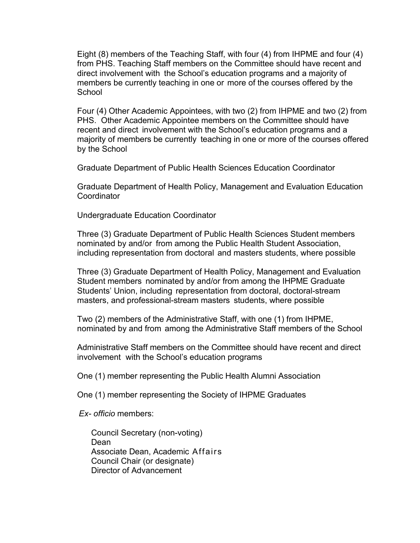Eight (8) members of the Teaching Staff, with four (4) from IHPME and four (4) from PHS. Teaching Staff members on the Committee should have recent and direct involvement with the School's education programs and a majority of members be currently teaching in one or more of the courses offered by the School

Four (4) Other Academic Appointees, with two (2) from IHPME and two (2) from PHS. Other Academic Appointee members on the Committee should have recent and direct involvement with the School's education programs and a majority of members be currently teaching in one or more of the courses offered by the School

Graduate Department of Public Health Sciences Education Coordinator

Graduate Department of Health Policy, Management and Evaluation Education **Coordinator** 

Undergraduate Education Coordinator

Three (3) Graduate Department of Public Health Sciences Student members nominated by and/or from among the Public Health Student Association, including representation from doctoral and masters students, where possible

Three (3) Graduate Department of Health Policy, Management and Evaluation Student members nominated by and/or from among the IHPME Graduate Students' Union, including representation from doctoral, doctoral-stream masters, and professional-stream masters students, where possible

Two (2) members of the Administrative Staff, with one (1) from IHPME, nominated by and from among the Administrative Staff members of the School

Administrative Staff members on the Committee should have recent and direct involvement with the School's education programs

One (1) member representing the Public Health Alumni Association

One (1) member representing the Society of IHPME Graduates

*Ex- officio* members:

Council Secretary (non-voting) Dean Associate Dean, Academic Affairs Council Chair (or designate) Director of Advancement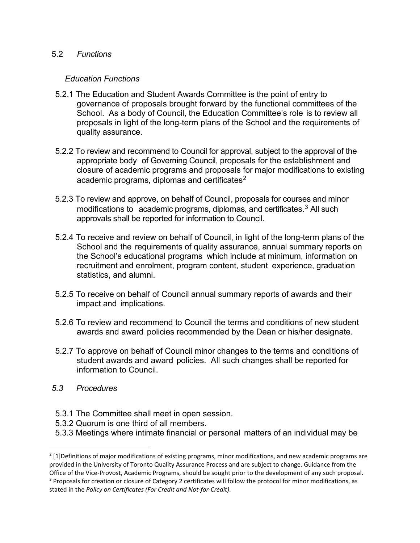#### 5.2 *Functions*

#### *Education Functions*

- 5.2.1 The Education and Student Awards Committee is the point of entry to governance of proposals brought forward by the functional committees of the School. As a body of Council, the Education Committee's role is to review all proposals in light of the long-term plans of the School and the requirements of quality assurance.
- 5.2.2 To review and recommend to Council for approval, subject to the approval of the appropriate body of Governing Council, proposals for the establishment and closure of academic programs and proposals for major modifications to existing academic programs, diplomas and certificates $2$
- 5.2.3 To review and approve, on behalf of Council, proposals for courses and minor modifications to academic programs, diplomas, and certificates.<sup>[3](#page-10-1)</sup> All such approvals shall be reported for information to Council.
- 5.2.4 To receive and review on behalf of Council, in light of the long-term plans of the School and the requirements of quality assurance, annual summary reports on the School's educational programs which include at minimum, information on recruitment and enrolment, program content, student experience, graduation statistics, and alumni.
- 5.2.5 To receive on behalf of Council annual summary reports of awards and their impact and implications.
- 5.2.6 To review and recommend to Council the terms and conditions of new student awards and award policies recommended by the Dean or his/her designate.
- 5.2.7 To approve on behalf of Council minor changes to the terms and conditions of student awards and award policies. All such changes shall be reported for information to Council.
- *5.3 Procedures*
- 5.3.1 The Committee shall meet in open session.
- 5.3.2 Quorum is one third of all members.
- 5.3.3 Meetings where intimate financial or personal matters of an individual may be

<span id="page-10-1"></span><span id="page-10-0"></span> $2$  [1]Definitions of major modifications of existing programs, minor modifications, and new academic programs are provided in the University of Toronto Quality Assurance Process and are subject to change. Guidance from the Office of the Vice-Provost, Academic Programs, should be sought prior to the development of any such proposal. <sup>3</sup> Proposals for creation or closure of Category 2 certificates will follow the protocol for minor modifications, as stated in the *Policy on Certificates (For Credit and Not-for-Credit)*.